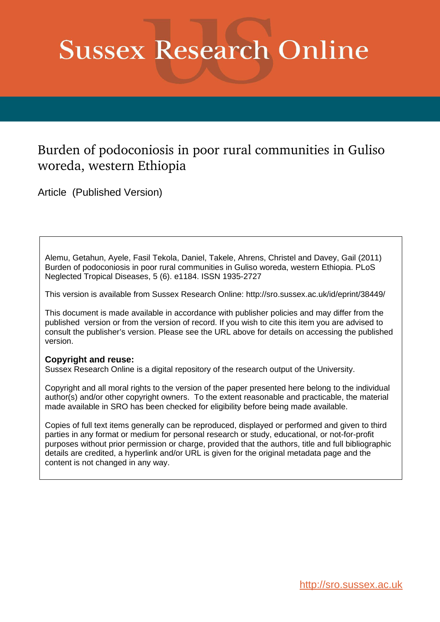# **Sussex Research Online**

## Burden of podoconiosis in poor rural communities in Guliso woreda, western Ethiopia

Article (Published Version)

Alemu, Getahun, Ayele, Fasil Tekola, Daniel, Takele, Ahrens, Christel and Davey, Gail (2011) Burden of podoconiosis in poor rural communities in Guliso woreda, western Ethiopia. PLoS Neglected Tropical Diseases, 5 (6). e1184. ISSN 1935-2727

This version is available from Sussex Research Online: http://sro.sussex.ac.uk/id/eprint/38449/

This document is made available in accordance with publisher policies and may differ from the published version or from the version of record. If you wish to cite this item you are advised to consult the publisher's version. Please see the URL above for details on accessing the published version.

## **Copyright and reuse:**

Sussex Research Online is a digital repository of the research output of the University.

Copyright and all moral rights to the version of the paper presented here belong to the individual author(s) and/or other copyright owners. To the extent reasonable and practicable, the material made available in SRO has been checked for eligibility before being made available.

Copies of full text items generally can be reproduced, displayed or performed and given to third parties in any format or medium for personal research or study, educational, or not-for-profit purposes without prior permission or charge, provided that the authors, title and full bibliographic details are credited, a hyperlink and/or URL is given for the original metadata page and the content is not changed in any way.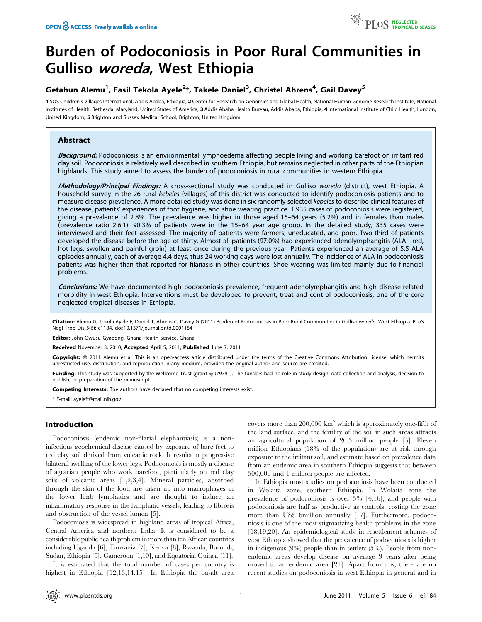# Burden of Podoconiosis in Poor Rural Communities in Gulliso woreda, West Ethiopia

### Getahun Alemu<sup>1</sup>, Fasil Tekola Ayele<sup>2</sup>\*, Takele Daniel<sup>3</sup>, Christel Ahrens<sup>4</sup>, Gail Davey<sup>5</sup>

1 SOS Children's Villages International, Addis Ababa, Ethiopia, 2 Center for Research on Genomics and Global Health, National Human Genome Research Institute, National Institutes of Health, Bethesda, Maryland, United States of America, 3 Addis Ababa Health Bureau, Addis Ababa, Ethiopia, 4 International Institute of Child Health, London, United Kingdom, 5 Brighton and Sussex Medical School, Brighton, United Kingdom

#### Abstract

Background: Podoconiosis is an environmental lymphoedema affecting people living and working barefoot on irritant red clay soil. Podoconiosis is relatively well described in southern Ethiopia, but remains neglected in other parts of the Ethiopian highlands. This study aimed to assess the burden of podoconiosis in rural communities in western Ethiopia.

Methodology/Principal Findings: A cross-sectional study was conducted in Gulliso woreda (district), west Ethiopia. A household survey in the 26 rural kebeles (villages) of this district was conducted to identify podoconiosis patients and to measure disease prevalence. A more detailed study was done in six randomly selected kebeles to describe clinical features of the disease, patients' experiences of foot hygiene, and shoe wearing practice. 1,935 cases of podoconiosis were registered, giving a prevalence of 2.8%. The prevalence was higher in those aged 15–64 years (5.2%) and in females than males (prevalence ratio 2.6:1). 90.3% of patients were in the 15–64 year age group. In the detailed study, 335 cases were interviewed and their feet assessed. The majority of patients were farmers, uneducated, and poor. Two-third of patients developed the disease before the age of thirty. Almost all patients (97.0%) had experienced adenolymphangitis (ALA - red, hot legs, swollen and painful groin) at least once during the previous year. Patients experienced an average of 5.5 ALA episodes annually, each of average 4.4 days, thus 24 working days were lost annually. The incidence of ALA in podoconiosis patients was higher than that reported for filariasis in other countries. Shoe wearing was limited mainly due to financial problems.

Conclusions: We have documented high podoconiosis prevalence, frequent adenolymphangitis and high disease-related morbidity in west Ethiopia. Interventions must be developed to prevent, treat and control podoconiosis, one of the core neglected tropical diseases in Ethiopia.

Citation: Alemu G, Tekola Ayele F, Daniel T, Ahrens C, Davey G (2011) Burden of Podoconiosis in Poor Rural Communities in Gulliso woreda, West Ethiopia. PLoS Negl Trop Dis 5(6): e1184. doi:10.1371/journal.pntd.0001184

Editor: John Owusu Gyapong, Ghana Health Service, Ghana

Received November 3, 2010; Accepted April 5, 2011; Published June 7, 2011

**Copyright:** © 2011 Alemu et al. This is an open-access article distributed under the terms of the Creative Commons Attribution License, which permits unrestricted use, distribution, and reproduction in any medium, provided the original author and source are credited.

Funding: This study was supported by the Wellcome Trust (grant #079791). The funders had no role in study design, data collection and analysis, decision to publish, or preparation of the manuscript.

Competing Interests: The authors have declared that no competing interests exist.

\* E-mail: ayeleft@mail.nih.gov

#### Introduction

Podoconiosis (endemic non-filarial elephantiasis) is a noninfectious geochemical disease caused by exposure of bare feet to red clay soil derived from volcanic rock. It results in progressive bilateral swelling of the lower legs. Podoconiosis is mostly a disease of agrarian people who work barefoot, particularly on red clay soils of volcanic areas [1,2,3,4]. Mineral particles, absorbed through the skin of the foot, are taken up into macrophages in the lower limb lymphatics and are thought to induce an inflammatory response in the lymphatic vessels, leading to fibrosis and obstruction of the vessel lumen [5].

Podoconiosis is widespread in highland areas of tropical Africa, Central America and northern India. It is considered to be a considerable public health problem in more than ten African countries including Uganda [6], Tanzania [7], Kenya [8], Rwanda, Burundi, Sudan, Ethiopia [9], Cameroon [1,10], and Equatorial Guinea [11].

It is estimated that the total number of cases per country is highest in Ethiopia [12,13,14,15]. In Ethiopia the basalt area covers more than  $200,000 \text{ km}^2$  which is approximately one-fifth of the land surface, and the fertility of the soil in such areas attracts an agricultural population of 20.5 million people [5]. Eleven million Ethiopians (18% of the population) are at risk through exposure to the irritant soil, and estimate based on prevalence data from an endemic area in southern Ethiopia suggests that between 500,000 and 1 million people are affected.

In Ethiopia most studies on podoconiosis have been conducted in Wolaita zone, southern Ethiopia. In Wolaita zone the prevalence of podoconiosis is over 5% [4,16], and people with podoconiosis are half as productive as controls, costing the zone more than US\$16million annually [17]. Furthermore, podoconiosis is one of the most stigmatizing health problems in the zone [18,19,20]. An epidemiological study in resettlement schemes of west Ethiopia showed that the prevalence of podoconiosis is higher in indigenous (9%) people than in settlers (5%). People from nonendemic areas develop disease on average 9 years after being moved to an endemic area [21]. Apart from this, there are no recent studies on podoconiosis in west Ethiopia in general and in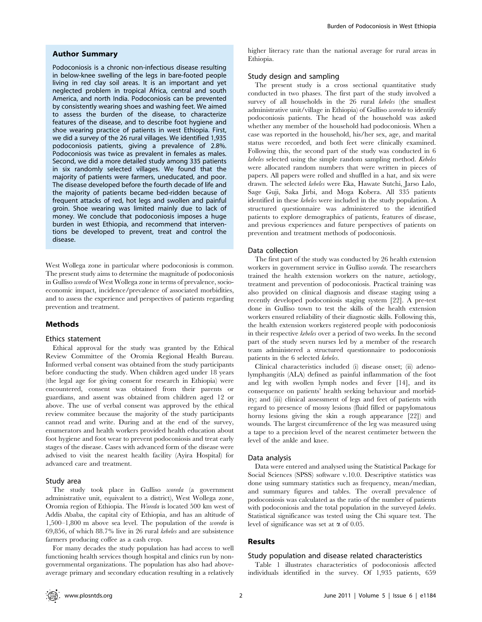#### Author Summary

Podoconiosis is a chronic non-infectious disease resulting in below-knee swelling of the legs in bare-footed people living in red clay soil areas. It is an important and yet neglected problem in tropical Africa, central and south America, and north India. Podoconiosis can be prevented by consistently wearing shoes and washing feet. We aimed to assess the burden of the disease, to characterize features of the disease, and to describe foot hygiene and shoe wearing practice of patients in west Ethiopia. First, we did a survey of the 26 rural villages. We identified 1,935 podoconiosis patients, giving a prevalence of 2.8%. Podoconiosis was twice as prevalent in females as males. Second, we did a more detailed study among 335 patients in six randomly selected villages. We found that the majority of patients were farmers, uneducated, and poor. The disease developed before the fourth decade of life and the majority of patients became bed-ridden because of frequent attacks of red, hot legs and swollen and painful groin. Shoe wearing was limited mainly due to lack of money. We conclude that podoconiosis imposes a huge burden in west Ethiopia, and recommend that interventions be developed to prevent, treat and control the disease.

West Wollega zone in particular where podoconiosis is common. The present study aims to determine the magnitude of podoconiosis in Gulliso woreda of West Wollega zone in terms of prevalence, socioeconomic impact, incidence/prevalence of associated morbidities, and to assess the experience and perspectives of patients regarding prevention and treatment.

#### Methods

#### Ethics statement

Ethical approval for the study was granted by the Ethical Review Committee of the Oromia Regional Health Bureau. Informed verbal consent was obtained from the study participants before conducting the study. When children aged under 18 years (the legal age for giving consent for research in Ethiopia) were encountered, consent was obtained from their parents or guardians, and assent was obtained from children aged 12 or above. The use of verbal consent was approved by the ethical review commitee because the majority of the study participants cannot read and write. During and at the end of the survey, enumerators and health workers provided health education about foot hygiene and foot wear to prevent podoconiosis and treat early stages of the disease. Cases with advanced form of the disease were advised to visit the nearest health facility (Ayira Hospital) for advanced care and treatment.

#### Study area

The study took place in Gulliso woreda (a government administrative unit, equivalent to a district), West Wollega zone, Oromia region of Ethiopia. The Woreda is located 500 km west of Addis Ababa, the capital city of Ethiopia, and has an altitude of 1,500–1,800 m above sea level. The population of the woreda is 69,856, of which 88.7% live in 26 rural kebeles and are subsistence farmers producing coffee as a cash crop.

For many decades the study population has had access to well functioning health services though hospital and clinics run by nongovernmental organizations. The population has also had aboveaverage primary and secondary education resulting in a relatively higher literacy rate than the national average for rural areas in Ethiopia.

#### Study design and sampling

The present study is a cross sectional quantitative study conducted in two phases. The first part of the study involved a survey of all households in the 26 rural kebeles (the smallest administrative unit/village in Ethiopia) of Gulliso woreda to identify podoconiosis patients. The head of the household was asked whether any member of the household had podoconiosis. When a case was reported in the household, his/her sex, age, and marital status were recorded, and both feet were clinically examined. Following this, the second part of the study was conducted in 6 kebeles selected using the simple random sampling method. Kebeles were allocated random numbers that were written in pieces of papers. All papers were rolled and shuffled in a hat, and six were drawn. The selected kebeles were Eka, Hawate Sutchi, Jarso Lalo, Sage Guji, Saka Jirbi, and Moga Kobera. All 335 patients identified in these kebeles were included in the study population. A structured questionnaire was administered to the identified patients to explore demographics of patients, features of disease, and previous experiences and future perspectives of patients on prevention and treatment methods of podoconiosis.

#### Data collection

The first part of the study was conducted by 26 health extension workers in government service in Gulliso woreda. The researchers trained the health extension workers on the nature, aetiology, treatment and prevention of podoconiosis. Practical training was also provided on clinical diagnosis and disease staging using a recently developed podoconiosis staging system [22]. A pre-test done in Gulliso town to test the skills of the health extension workers ensured reliability of their diagnostic skills. Following this, the health extension workers registered people with podoconiosis in their respective kebeles over a period of two weeks. In the second part of the study seven nurses led by a member of the research team administered a structured questionnaire to podoconiosis patients in the 6 selected kebeles.

Clinical characteristics included (i) disease onset; (ii) adenolymphangitis (ALA) defined as painful inflammation of the foot and leg with swollen lymph nodes and fever [14], and its consequence on patients' health seeking behaviour and morbidity; and (iii) clinical assessment of legs and feet of patients with regard to presence of mossy lesions (fluid filled or papylomatous horny lesions giving the skin a rough appearance [22]) and wounds. The largest circumference of the leg was measured using a tape to a precision level of the nearest centimeter between the level of the ankle and knee.

#### Data analysis

Data were entered and analysed using the Statistical Package for Social Sciences (SPSS) software v.10.0. Descriptive statistics was done using summary statistics such as frequency, mean/median, and summary figures and tables. The overall prevalence of podoconiosis was calculated as the ratio of the number of patients with podoconiosis and the total population in the surveyed kebeles. Statistical significance was tested using the Chi square test. The level of significance was set at  $\alpha$  of 0.05.

#### Results

#### Study population and disease related characteristics

Table 1 illustrates characteristics of podoconiosis affected individuals identified in the survey. Of 1,935 patients, 659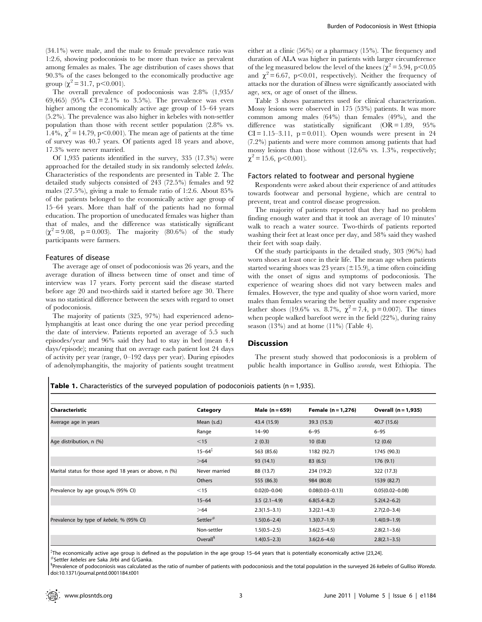(34.1%) were male, and the male to female prevalence ratio was 1:2.6, showing podoconiosis to be more than twice as prevalent among females as males. The age distribution of cases shows that 90.3% of the cases belonged to the economically productive age group ( $\chi^2$  = 31.7, p<0.001).

The overall prevalence of podoconiosis was 2.8% (1,935/ 69,465) (95% CI = 2.1% to 3.5%). The prevalence was even higher among the economically active age group of 15–64 years (5.2%). The prevalence was also higher in kebeles with non-settler population than those with recent settler population (2.8% vs. 1.4%,  $\chi^2 = 14.79$ , p $< 0.001$ ). The mean age of patients at the time of survey was 40.7 years. Of patients aged 18 years and above, 17.3% were never married.

Of 1,935 patients identified in the survey, 335 (17.3%) were approached for the detailed study in six randomly selected kebeles. Characteristics of the respondents are presented in Table 2. The detailed study subjects consisted of 243 (72.5%) females and 92 males (27.5%), giving a male to female ratio of 1:2.6. About 85% of the patients belonged to the economically active age group of 15–64 years. More than half of the patients had no formal education. The proportion of uneducated females was higher than that of males, and the difference was statistically significant  $(\chi^2 = 9.08, p = 0.003)$ . The majority (80.6%) of the study participants were farmers.

#### Features of disease

The average age of onset of podoconiosis was 26 years, and the average duration of illness between time of onset and time of interview was 17 years. Forty percent said the disease started before age 20 and two-thirds said it started before age 30. There was no statistical difference between the sexes with regard to onset of podoconiosis.

The majority of patients (325, 97%) had experienced adenolymphangitis at least once during the one year period preceding the date of interview. Patients reported an average of 5.5 such episodes/year and 96% said they had to stay in bed (mean 4.4 days/episode); meaning that on average each patient lost 24 days of activity per year (range, 0–192 days per year). During episodes of adenolymphangitis, the majority of patients sought treatment either at a clinic (56%) or a pharmacy (15%). The frequency and duration of ALA was higher in patients with larger circumference of the leg measured below the level of the knees ( $\chi^2$  = 5.94, p<0.05 and  $\chi^2$  = 6.67, p<0.01, respectively). Neither the frequency of attacks nor the duration of illness were significantly associated with age, sex, or age of onset of the illness.

Table 3 shows parameters used for clinical characterization. Mossy lesions were observed in 175 (53%) patients. It was more common among males (64%) than females (49%), and the difference was statistically significant  $(OR = 1.89, 95\%)$  $CI = 1.15-3.11$ ,  $p = 0.011$ ). Open wounds were present in 24 (7.2%) patients and were more common among patients that had mossy lesions than those without (12.6% vs. 1.3%, respectively;  $\chi^2$  = 15.6, p<0.001).

#### Factors related to footwear and personal hygiene

Respondents were asked about their experience of and attitudes towards footwear and personal hygiene, which are central to prevent, treat and control disease progression.

The majority of patients reported that they had no problem finding enough water and that it took an average of 10 minutes' walk to reach a water source. Two-thirds of patients reported washing their feet at least once per day, and 58% said they washed their feet with soap daily.

Of the study participants in the detailed study, 303 (96%) had worn shoes at least once in their life. The mean age when patients started wearing shoes was 23 years  $(\pm 15.9)$ , a time often coinciding with the onset of signs and symptoms of podoconiosis. The experience of wearing shoes did not vary between males and females. However, the type and quality of shoe worn varied, more males than females wearing the better quality and more expensive leather shoes (19.6% vs. 8.7%,  $\chi^2 = 7.4$ , p = 0.007). The times when people walked barefoot were in the field (22%), during rainy season  $(13\%)$  and at home  $(11\%)$  (Table 4).

#### **Discussion**

The present study showed that podoconiosis is a problem of public health importance in Gulliso woreda, west Ethiopia. The

**Table 1.** Characteristics of the surveyed population of podoconiois patients ( $n = 1,935$ ).

| Characteristic                                         | Category             | Male $(n = 659)$ | Female $(n = 1,276)$ | Overall (n = 1,935) |
|--------------------------------------------------------|----------------------|------------------|----------------------|---------------------|
| Average age in years                                   | Mean (s.d.)          | 43.4 (15.9)      | 39.3 (15.3)          | 40.7 (15.6)         |
|                                                        | Range                | $14 - 90$        | $6 - 95$             | $6 - 95$            |
| Age distribution, n (%)                                | $<$ 15               | 2(0.3)           | 10(0.8)              | 12(0.6)             |
|                                                        | $15 - 64^{\ddagger}$ | 563 (85.6)       | 1182 (92.7)          | 1745 (90.3)         |
|                                                        | >64                  | 93 (14.1)        | 83(6.5)              | 176(9.1)            |
| Marital status for those aged 18 years or above, n (%) | Never married        | 88 (13.7)        | 234 (19.2)           | 322 (17.3)          |
|                                                        | Others               | 555 (86.3)       | 984 (80.8)           | 1539 (82.7)         |
| Prevalence by age group,% (95% CI)                     | $<$ 15               | $0.02(0 - 0.04)$ | $0.08(0.03 - 0.13)$  | $0.05(0.02 - 0.08)$ |
|                                                        | $15 - 64$            | $3.5(2.1-4.9)$   | $6.8(5.4 - 8.2)$     | $5.2(4.2 - 6.2)$    |
|                                                        | >64                  | $2.3(1.5-3.1)$   | $3.2(2.1 - 4.3)$     | $2.7(2.0 - 3.4)$    |
| Prevalence by type of kebele, % (95% CI)               | Settler $#$          | $1.5(0.6 - 2.4)$ | $1.3(0.7-1.9)$       | $1.4(0.9-1.9)$      |
|                                                        | Non-settler          | $1.5(0.5 - 2.5)$ | $3.6(2.5 - 4.5)$     | $2.8(2.1 - 3.6)$    |
|                                                        | Overall <sup>3</sup> | $1.4(0.5-2.3)$   | $3.6(2.6 - 4.6)$     | $2.8(2.1 - 3.5)$    |

{ The economically active age group is defined as the population in the age group 15–64 years that is potentially economically active [23,24].

#Settler kebeles are Saka Jirbi and G/Ganka. <sup>1</sup>

<sup>§</sup>Prevalence of podoconiosis was calculated as the ratio of number of patients with podoconiosis and the total population in the surveyed 26 kebeles of Gulliso Woreda. doi:10.1371/journal.pntd.0001184.t001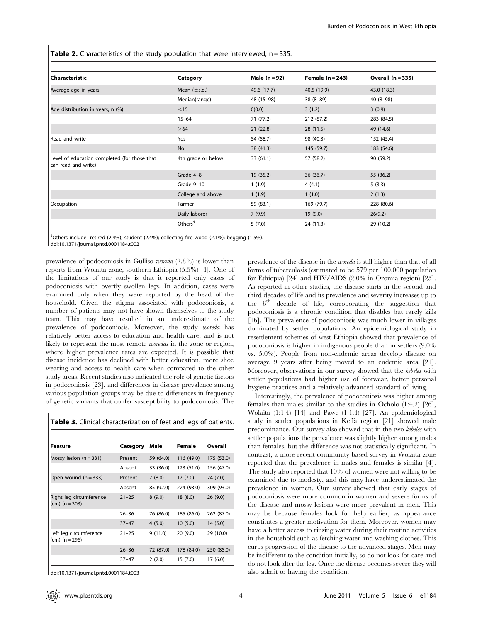**Table 2.** Characteristics of the study population that were interviewed,  $n = 335$ .

| Characteristic                                                      | Category            | Male $(n=92)$ | Female $(n=243)$ | Overall $(n = 335)$ |
|---------------------------------------------------------------------|---------------------|---------------|------------------|---------------------|
| Average age in years                                                | Mean $(\pm s.d.)$   | 49.6 (17.7)   | 40.5 (19.9)      | 43.0 (18.3)         |
|                                                                     | Median(range)       | 48 (15-98)    | $38(8-89)$       | $40(8-98)$          |
| Age distribution in years, n (%)                                    | $<$ 15              | 0(0.0)        | 3(1.2)           | 3(0.9)              |
|                                                                     | $15 - 64$           | 71 (77.2)     | 212 (87.2)       | 283 (84.5)          |
|                                                                     | >64                 | 21(22.8)      | 28(11.5)         | 49 (14.6)           |
| Read and write                                                      | Yes                 | 54 (58.7)     | 98 (40.3)        | 152 (45.4)          |
|                                                                     | No                  | 38 (41.3)     | 145 (59.7)       | 183 (54.6)          |
| Level of education completed (for those that<br>can read and write) | 4th grade or below  | 33(61.1)      | 57 (58.2)        | 90 (59.2)           |
|                                                                     | Grade 4-8           | 19 (35.2)     | 36(36.7)         | 55 (36.2)           |
|                                                                     | Grade 9-10          | 1(1.9)        | 4(4.1)           | 5(3.3)              |
|                                                                     | College and above   | 1(1.9)        | 1(1.0)           | 2(1.3)              |
| Occupation                                                          | Farmer              | 59 (83.1)     | 169 (79.7)       | 228 (80.6)          |
|                                                                     | Daily laborer       | 7(9.9)        | 19(9.0)          | 26(9.2)             |
|                                                                     | Others <sup>§</sup> | 5(7.0)        | 24 (11.3)        | 29 (10.2)           |

<sup>§</sup>Others include- retired (2.4%); student (2.4%); collecting fire wood (2.1%); begging (1.5%). doi:10.1371/journal.pntd.0001184.t002

prevalence of podoconiosis in Gulliso woreda (2.8%) is lower than reports from Wolaita zone, southern Ethiopia (5.5%) [4]. One of the limitations of our study is that it reported only cases of podoconiosis with overtly swollen legs. In addition, cases were examined only when they were reported by the head of the household. Given the stigma associated with podoconiosis, a number of patients may not have shown themselves to the study team. This may have resulted in an underestimate of the prevalence of podoconiosis. Moreover, the study woreda has relatively better access to education and health care, and is not likely to represent the most remote woredas in the zone or region, where higher prevalence rates are expected. It is possible that disease incidence has declined with better education, more shoe wearing and access to health care when compared to the other study areas. Recent studies also indicated the role of genetic factors in podoconiosis [23], and differences in disease prevalence among various population groups may be due to differences in frequency of genetic variants that confer susceptibility to podoconiosis. The

| Feature                                     | Category  | Male      | Female     | Overall    |
|---------------------------------------------|-----------|-----------|------------|------------|
| Mossy lesion $(n = 331)$                    | Present   | 59 (64.0) | 116 (49.0) | 175 (53.0) |
|                                             | Absent    | 33 (36.0) | 123 (51.0) | 156 (47.0) |
| Open wound $(n = 333)$                      | Present   | 7(8.0)    | 17(7.0)    | 24(7.0)    |
|                                             | Absent    | 85 (92.0) | 224 (93.0) | 309 (93.0) |
| Right leg circumference<br>$(cm) (n = 303)$ | $21 - 25$ | 8(9.0)    | 18 (8.0)   | 26(9.0)    |
|                                             | $26 - 36$ | 76 (86.0) | 185 (86.0) | 262 (87.0) |
|                                             | $37 - 47$ | 4(5.0)    | 10(5.0)    | 14(5.0)    |
| Left leg circumference<br>(cm) (n = 296)    | $21 - 25$ | 9(11.0)   | 20 (9.0)   | 29 (10.0)  |
|                                             | $26 - 36$ | 72 (87.0) | 178 (84.0) | 250 (85.0) |
|                                             | $37 - 47$ | 2(2.0)    | 15 (7.0)   | 17 (6.0)   |

doi:10.1371/journal.pntd.0001184.t003

prevalence of the disease in the woreda is still higher than that of all forms of tuberculosis (estimated to be 579 per 100,000 population for Ethiopia) [24] and HIV/AIDS (2.0% in Oromia region) [25]. As reported in other studies, the disease starts in the second and third decades of life and its prevalence and severity increases up to the  $6<sup>th</sup>$  decade of life, corroborating the suggestion that podoconiosis is a chronic condition that disables but rarely kills [16]. The prevalence of podoconiosis was much lower in villages dominated by settler populations. An epidemiological study in resettlement schemes of west Ethiopia showed that prevalence of podoconiosis is higher in indigenous people than in settlers (9.0% vs. 5.0%). People from non-endemic areas develop disease on average 9 years after being moved to an endemic area [21]. Moreover, observations in our survey showed that the kebeles with settler populations had higher use of footwear, better personal hygiene practices and a relatively advanced standard of living.

Interestingly, the prevalence of podoconiosis was higher among females than males similar to the studies in Ocholo (1:4.2) [26], Wolaita (1:1.4) [14] and Pawe (1:1.4) [27]. An epidemiological study in settler populations in Keffa region [21] showed male predominance. Our survey also showed that in the two kebeles with settler populations the prevalence was slightly higher among males than females, but the difference was not statistically significant. In contrast, a more recent community based survey in Wolaita zone reported that the prevalence in males and females is similar [4]. The study also reported that 10% of women were not willing to be examined due to modesty, and this may have underestimated the prevalence in women. Our survey showed that early stages of podoconiosis were more common in women and severe forms of the disease and mossy lesions were more prevalent in men. This may be because females look for help earlier, as appearance constitutes a greater motivation for them. Moreover, women may have a better access to rinsing water during their routine activities in the household such as fetching water and washing clothes. This curbs progression of the disease to the advanced stages. Men may be indifferent to the condition initially, so do not look for care and do not look after the leg. Once the disease becomes severe they will also admit to having the condition.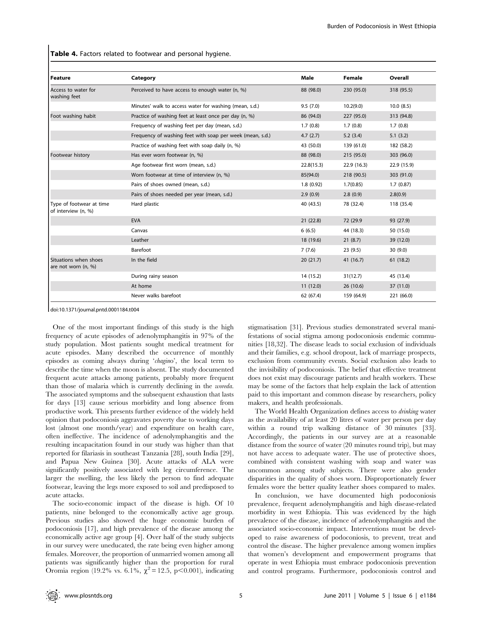Table 4. Factors related to footwear and personal hygiene.

| <b>Feature</b>                                  | Category                                                  | Male       | Female     | Overall     |
|-------------------------------------------------|-----------------------------------------------------------|------------|------------|-------------|
| Access to water for<br>washing feet             | Perceived to have access to enough water (n, %)           | 88 (98.0)  | 230 (95.0) | 318 (95.5)  |
|                                                 | Minutes' walk to access water for washing (mean, s.d.)    | 9.5(7.0)   | 10.2(9.0)  | 10.0(8.5)   |
| Foot washing habit                              | Practice of washing feet at least once per day (n, %)     | 86 (94.0)  | 227 (95.0) | 313 (94.8)  |
|                                                 | Frequency of washing feet per day (mean, s.d.)            | 1.7(0.8)   | 1.7(0.8)   | 1.7(0.8)    |
|                                                 | Frequency of washing feet with soap per week (mean, s.d.) | 4.7(2.7)   | 5.2(3.4)   | 5.1(3.2)    |
|                                                 | Practice of washing feet with soap daily (n, %)           | 43 (50.0)  | 139 (61.0) | 182 (58.2)  |
| Footwear history                                | Has ever worn footwear (n, %)                             | 88 (98.0)  | 215 (95.0) | 303 (96.0)  |
|                                                 | Age footwear first worn (mean, s.d.)                      | 22.8(15.3) | 22.9(16.3) | 22.9 (15.9) |
|                                                 | Worn footwear at time of interview (n, %)                 | 85(94.0)   | 218 (90.5) | 303 (91.0)  |
|                                                 | Pairs of shoes owned (mean, s.d.)                         | 1.8(0.92)  | 1.7(0.85)  | 1.7(0.87)   |
|                                                 | Pairs of shoes needed per year (mean, s.d.)               | 2.9(0.9)   | 2.8(0.9)   | 2.8(0.9)    |
| Type of footwear at time<br>of interview (n, %) | Hard plastic                                              | 40 (43.5)  | 78 (32.4)  | 118 (35.4)  |
|                                                 | <b>EVA</b>                                                | 21(22.8)   | 72 (29.9)  | 93 (27.9)   |
|                                                 | Canvas                                                    | 6(6.5)     | 44 (18.3)  | 50 (15.0)   |
|                                                 | Leather                                                   | 18 (19.6)  | 21(8.7)    | 39 (12.0)   |
|                                                 | Barefoot                                                  | 7(7.6)     | 23(9.5)    | 30(9.0)     |
| Situations when shoes<br>are not worn (n, %)    | In the field                                              | 20(21.7)   | 41 (16.7)  | 61(18.2)    |
|                                                 | During rainy season                                       | 14 (15.2)  | 31(12.7)   | 45 (13.4)   |
|                                                 | At home                                                   | 11(12.0)   | 26(10.6)   | 37(11.0)    |
|                                                 | Never walks barefoot                                      | 62 (67.4)  | 159 (64.9) | 221 (66.0)  |

doi:10.1371/journal.pntd.0001184.t004

One of the most important findings of this study is the high frequency of acute episodes of adenolymphangitis in 97% of the study population. Most patients sought medical treatment for acute episodes. Many described the occurrence of monthly episodes as coming always during 'chagino', the local term to describe the time when the moon is absent. The study documented frequent acute attacks among patients, probably more frequent than those of malaria which is currently declining in the woreda. The associated symptoms and the subsequent exhaustion that lasts for days [13] cause serious morbidity and long absence from productive work. This presents further evidence of the widely held opinion that podoconiosis aggravates poverty due to working days lost (almost one month/year) and expenditure on health care, often ineffective. The incidence of adenolymphangitis and the resulting incapacitation found in our study was higher than that reported for filariasis in southeast Tanzania [28], south India [29], and Papua New Guinea [30]. Acute attacks of ALA were significantly positively associated with leg circumference. The larger the swelling, the less likely the person to find adequate footwear, leaving the legs more exposed to soil and predisposed to acute attacks.

The socio-economic impact of the disease is high. Of 10 patients, nine belonged to the economically active age group. Previous studies also showed the huge economic burden of podoconiosis [17], and high prevalence of the disease among the economically active age group [4]. Over half of the study subjects in our survey were uneducated, the rate being even higher among females. Moreover, the proportion of unmarried women among all patients was significantly higher than the proportion for rural Oromia region (19.2% vs. 6.1%,  $\chi^2 = 12.5$ , p $\leq 0.001$ ), indicating stigmatisation [31]. Previous studies demonstrated several manifestations of social stigma among podoconiosis endemic communities [18,32]. The disease leads to social exclusion of individuals and their families, e.g. school dropout, lack of marriage prospects, exclusion from community events. Social exclusion also leads to the invisibility of podoconiosis. The belief that effective treatment does not exist may discourage patients and health workers. These may be some of the factors that help explain the lack of attention paid to this important and common disease by researchers, policy makers, and health professionals.

The World Health Organization defines access to drinking water as the availability of at least 20 litres of water per person per day within a round trip walking distance of 30 minutes [33]. Accordingly, the patients in our survey are at a reasonable distance from the source of water (20 minutes round trip), but may not have access to adequate water. The use of protective shoes, combined with consistent washing with soap and water was uncommon among study subjects. There were also gender disparities in the quality of shoes worn. Disproportionately fewer females wore the better quality leather shoes compared to males.

In conclusion, we have documented high podoconiosis prevalence, frequent adenolymphangitis and high disease-related morbidity in west Ethiopia. This was evidenced by the high prevalence of the disease, incidence of adenolymphangitis and the associated socio-economic impact. Interventions must be developed to raise awareness of podoconiosis, to prevent, treat and control the disease. The higher prevalence among women implies that women's development and empowerment programs that operate in west Ethiopia must embrace podoconiosis prevention and control programs. Furthermore, podoconiosis control and